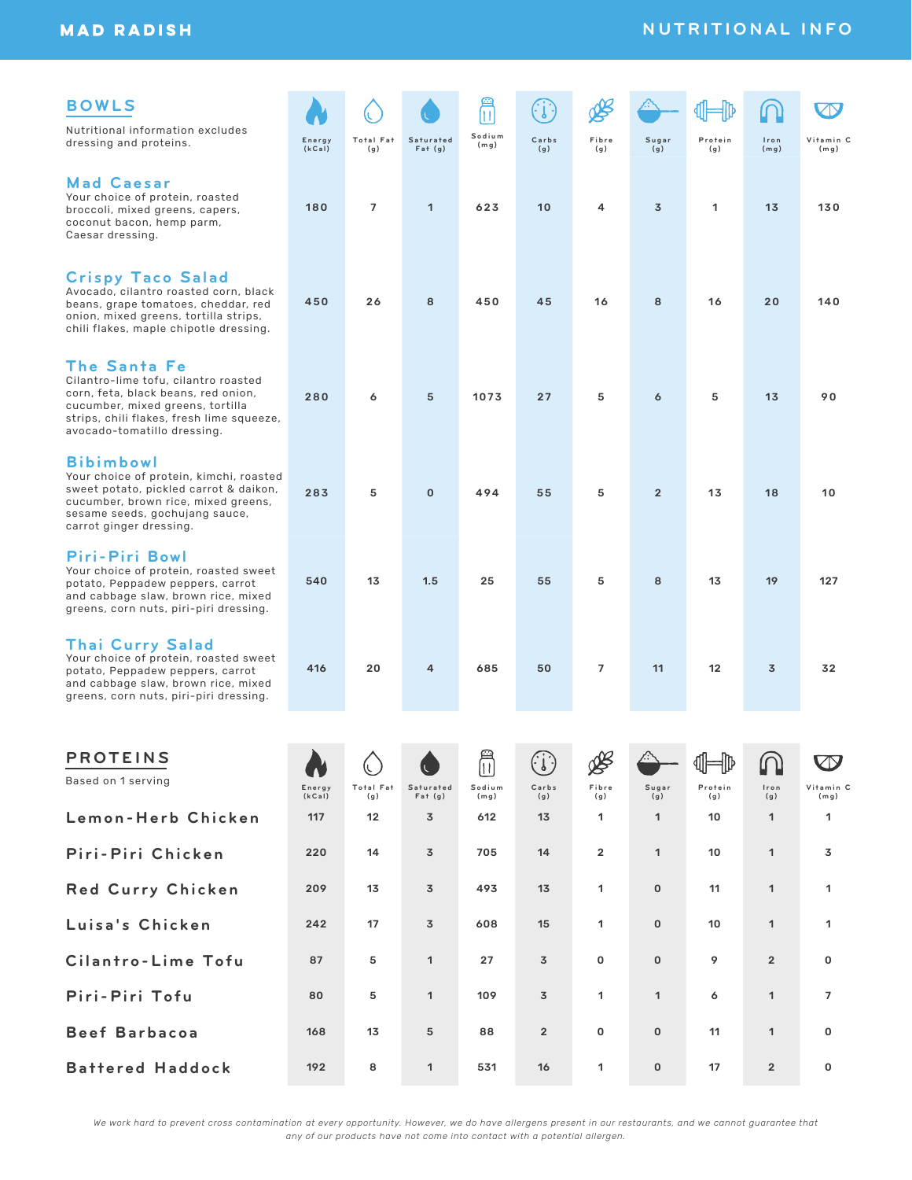# **MAD RADISH**

# **BOWLS**

Nutritional information excludes dressing and proteins.

**(kCal)**

**Total Fat (g)**

(L.

**Saturated Fat (g)**

**Sodium**

田

**(mg) C a r b s (g)**

 $\bigodot$ 

**F i b r e (g)**

o¥

180 7 1 623 10 4 3 1 13 130

450 26 8 450 45 16 8 16 20 140

280 6 5 1073 27 5 6 5 13 90

283 5 0 494 55 5 2 13 18 10

540 13 1.5 25 55 5 8 13 19 127

**Sugar (g)**

#### **Mad Caesar**

Your choice of protein, roasted broccoli, mixed greens, capers, coconut bacon, hemp parm, Caesar dressing.

# **Crispy Taco Salad** Avocado, cilantro roasted corn, black

beans, grape tomatoes, cheddar, red onion, mixed greens, tortilla strips, chili flakes, maple chipotle dressing.

### **The Santa Fe**

Cilantro-lime tofu, cilantro roasted corn, feta, black beans, red onion, cucumber, mixed greens, tortilla strips, chili flakes, fresh lime squeeze, avocado-tomatillo dressing.

### **Bibimbowl**

Your choice of protein, kimchi, roasted sweet potato, pickled carrot & daikon, cucumber, brown rice, mixed greens, sesame seeds, gochujang sauce, carrot ginger dressing.

### **Piri-Piri Bowl**

Your choice of protein, roasted sweet potato, Peppadew peppers, carrot and cabbage slaw, brown rice, mixed greens, corn nuts, piri-piri dressing.

**Thai Curry Salad** Your choice of protein, roasted sweet potato, Peppadew peppers, carrot and cabbage slaw, brown rice, mixed

| potato, Peppadew peppers, carrot<br>and cabbage slaw, brown rice, mixed<br>greens, corn nuts, piri-piri dressing. | 416              | 20               | 4                   | 685            | 50             | $\overline{7}$ | 11           | 12             | 3              | 32                |
|-------------------------------------------------------------------------------------------------------------------|------------------|------------------|---------------------|----------------|----------------|----------------|--------------|----------------|----------------|-------------------|
|                                                                                                                   |                  |                  |                     |                |                |                |              |                |                |                   |
| <b>PROTEINS</b>                                                                                                   |                  |                  | $\overline{C}$      | ĥ              | (i)            | ∰              |              | ା ଏ⊩           | $\Omega$       |                   |
| Based on 1 serving                                                                                                | Energy<br>(kCal) | Total Fat<br>(g) | Saturated<br>Fat(q) | Sodium<br>(mq) | Carbs<br>(g)   | Fibre<br>(g)   | Sugar<br>(g) | Protein<br>(g) | Iron<br>(g)    | Vitamin C<br>(mg) |
| Lemon-Herb Chicken                                                                                                | 117              | 12               | $\overline{3}$      | 612            | 13             | 1              | 1            | 10             | 1              | 1                 |
| Piri-Piri Chicken                                                                                                 | 220              | 14               | $\overline{3}$      | 705            | 14             | $\overline{2}$ | 1            | 10             | 1              | 3                 |
| <b>Red Curry Chicken</b>                                                                                          | 209              | 13               | 3                   | 493            | 13             | 1              | $\mathbf 0$  | 11             | 1              | 1                 |
| Luisa's Chicken                                                                                                   | 242              | 17               | $\overline{3}$      | 608            | 15             | 1              | $\mathbf 0$  | 10             | 1              | 1                 |
| Cilantro-Lime Tofu                                                                                                | 87               | 5                | $\mathbf{1}$        | 27             | $\overline{3}$ | 0              | $\mathbf 0$  | 9              | $\overline{2}$ | $\mathbf 0$       |
| Piri-Piri Tofu                                                                                                    | 80               | 5                | 1                   | 109            | 3              | 1              | $\mathbf{1}$ | 6              | 1              | $\overline{7}$    |
| <b>Beef Barbacoa</b>                                                                                              | 168              | 13               | 5                   | 88             | $\overline{2}$ | $\mathbf{0}$   | $\mathbf 0$  | 11             | 1              | $\mathbf 0$       |
| <b>Battered Haddock</b>                                                                                           | 192              | 8                | 1                   | 531            | 16             | 1              | $\mathbf 0$  | 17             | $\overline{2}$ | $\mathbf 0$       |

**I r o n (mg)**

**V i t a m i n C (mg)**

**ZN** 

**Protein (g)**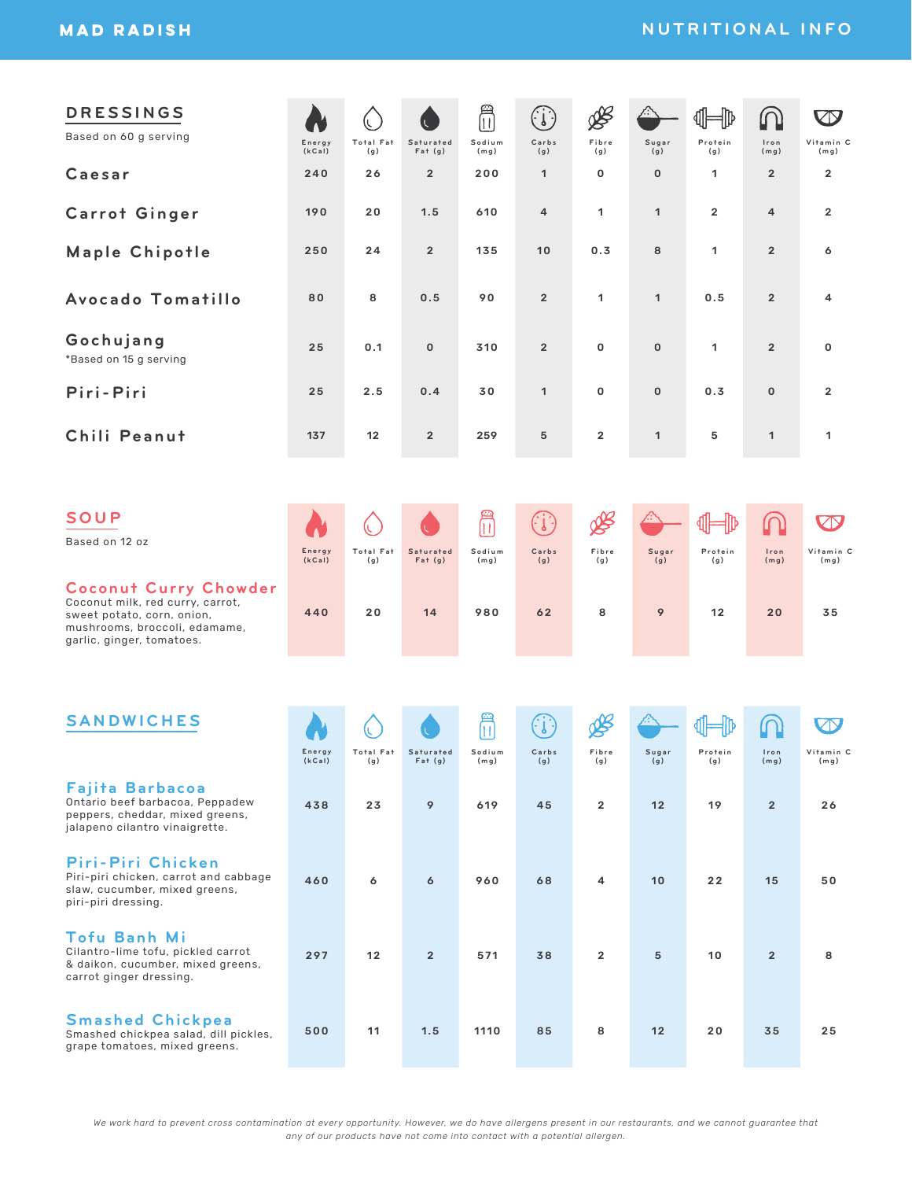# **NUTRITIONAL INFO**

| <b>DRESSINGS</b><br>Based on 60 g serving                                                                                                                    | Energy           | (L.<br>Total Fat | Saturated                | F<br>Sodium                   | (i)<br>Carbs                                                                       | B<br>Fibre            | Sugar              | Protein        | ൝<br>Iron              | $\bigcirc$<br>Vitamin C         |
|--------------------------------------------------------------------------------------------------------------------------------------------------------------|------------------|------------------|--------------------------|-------------------------------|------------------------------------------------------------------------------------|-----------------------|--------------------|----------------|------------------------|---------------------------------|
| Caesar                                                                                                                                                       | (kCai)<br>240    | (g)<br>26        | Fat(g)<br>$\overline{2}$ | (mg)<br>200                   | (g)<br>$\mathbf{1}$                                                                | (g)<br>$\mathbf 0$    | (g)<br>$\mathbf 0$ | (g)<br>1       | (mg)<br>$\overline{2}$ | (mg)<br>$\overline{\mathbf{2}}$ |
| <b>Carrot Ginger</b>                                                                                                                                         | 190              | 20               | 1.5                      | 610                           | 4                                                                                  | 1                     | $\mathbf{1}$       | $\overline{2}$ | $\overline{4}$         | $\overline{\mathbf{2}}$         |
| <b>Maple Chipotle</b>                                                                                                                                        | 250              | 24               | $\overline{2}$           | 135                           | 10                                                                                 | 0.3                   | 8                  | 1              | $\overline{2}$         | 6                               |
| Avocado Tomatillo                                                                                                                                            | 80               | 8                | 0.5                      | 90                            | $\overline{2}$                                                                     | 1                     | $\mathbf{1}$       | 0.5            | $\overline{2}$         | 4                               |
| Gochujang<br>*Based on 15 g serving                                                                                                                          | 25               | 0.1              | $\mathbf 0$              | 310                           | $\overline{2}$                                                                     | 0                     | $\mathbf 0$        | 1              | $\overline{2}$         | 0                               |
| Piri-Piri                                                                                                                                                    | 25               | 2.5              | 0.4                      | 30                            | $\mathbf{1}$                                                                       | 0                     | $\mathbf 0$        | 0.3            | $\mathbf 0$            | $\overline{\mathbf{2}}$         |
| Chili Peanut                                                                                                                                                 | 137              | 12               | $\overline{2}$           | 259                           | 5                                                                                  | $\overline{2}$        | $\mathbf{1}$       | 5              | $\mathbf{1}$           | 1                               |
|                                                                                                                                                              |                  |                  |                          |                               |                                                                                    |                       |                    |                |                        |                                 |
| SOUP<br>Based on 12 oz                                                                                                                                       | Energy<br>(kCal) | Total Fat<br>(g) | Saturated<br>Fat(g)      | ≝<br>$\Box$<br>Sodium<br>(mg) | $\left(\begin{smallmatrix} 1 & 1 \ 1 & 1 \end{smallmatrix}\right)$<br>Carbs<br>(g) | ⅍<br>Fibre<br>(g)     | Sugar<br>(g)       | Protein<br>(g) | Iron<br>(mg)           | <b>KIX</b><br>Vitamin C<br>(mg) |
| <b>Coconut Curry Chowder</b><br>Coconut milk, red curry, carrot,<br>sweet potato, corn, onion,<br>mushrooms, broccoli, edamame,<br>garlic, ginger, tomatoes. | 440              | 20               | 14                       | 980                           | 62                                                                                 | 8                     | 9                  | 12             | 20                     | 35                              |
|                                                                                                                                                              |                  |                  |                          |                               |                                                                                    |                       |                    |                |                        |                                 |
| <b>SANDWICHES</b>                                                                                                                                            | Energy           | Total Fat        | Saturated                | l۱<br>Sodium                  | Carbs                                                                              | Fibre                 | Sugar              | Protein        | Iron                   | Vitamin C                       |
| <b>Fajita Barbacoa</b><br>Ontario beef barbacoa, Peppadew<br>peppers, cheddar, mixed greens,<br>jalapeno cilantro vinaigrette.                               | (kCat)<br>438    | (g)<br>23        | Fat(g)<br>9              | (mg)<br>619                   | (g)<br>45                                                                          | (g)<br>$\overline{2}$ | (g)<br>12          | (g)<br>19      | (mg)<br>$\overline{2}$ | (mg)<br>26                      |
| Piri-Piri Chicken<br>Piri-piri chicken, carrot and cabbage<br>slaw, cucumber, mixed greens,<br>piri-piri dressing.                                           | 460              | 6                | 6                        | 960                           | 68                                                                                 | 4                     | 10                 | 22             | 15                     | 50                              |
| <b>Tofu Banh Mi</b><br>Cilantro-lime tofu, pickled carrot<br>& daikon, cucumber, mixed greens,<br>carrot ginger dressing.                                    | 297              | 12               | $\overline{2}$           | 571                           | 38                                                                                 | $\overline{2}$        | $\,$ 5 $\,$        | 10             | $\overline{2}$         | 8                               |
| <b>Smashed Chickpea</b><br>Smashed chickpea salad, dill pickles,<br>grape tomatoes, mixed greens.                                                            | 500              | 11               | 1.5                      | 1110                          | 85                                                                                 | 8                     | 12                 | 20             | 35                     | 25                              |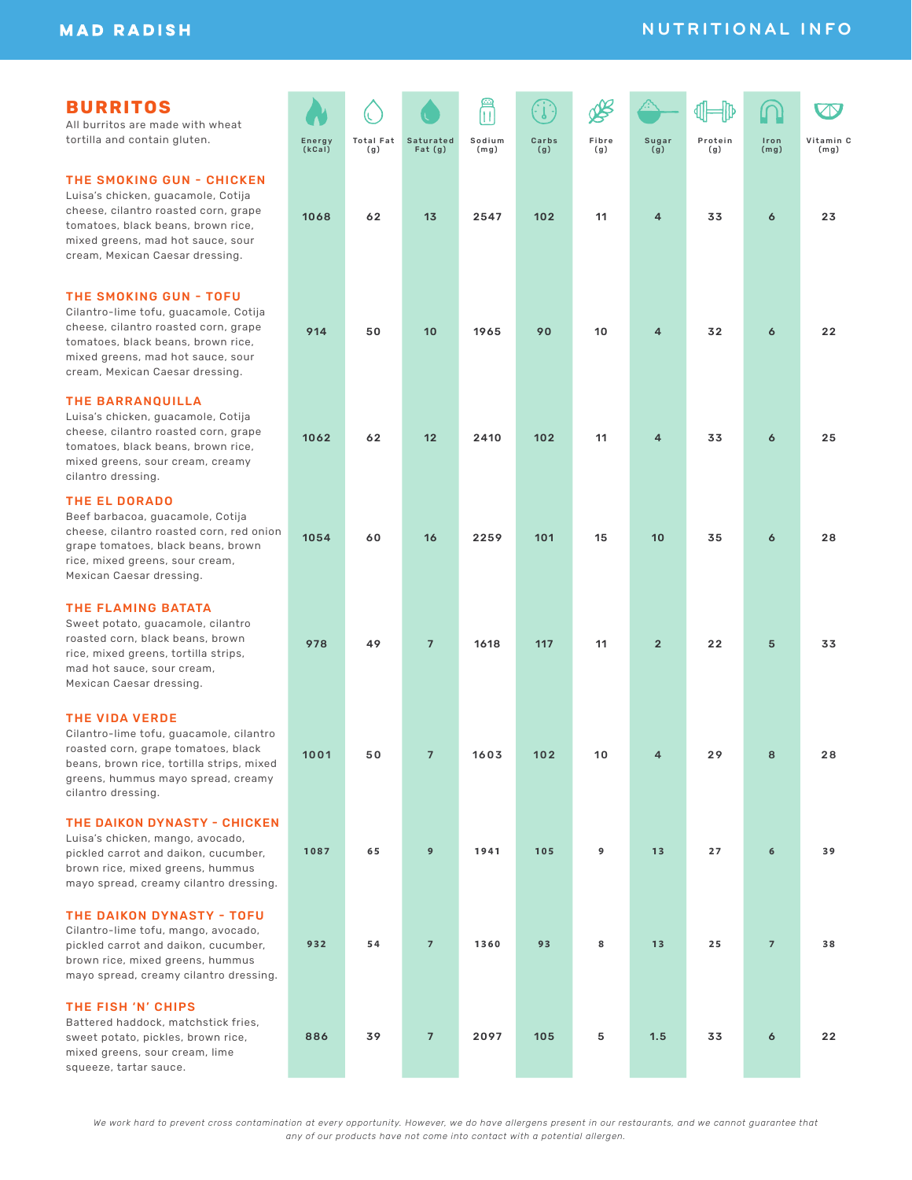## **BURRITOS**

All burritos are made with wheat tortilla and contain gluten.

#### THE SMOKING GUN - CHICKEN

Luisa's chicken, guacamole, Cotija cheese, cilantro roasted corn, grape tomatoes, black beans, brown rice, mixed greens, mad hot sauce, sour cream, Mexican Caesar dressing.

#### THE SMOKING GUN - TOFU

Cilantro-lime tofu, guacamole, Cotija cheese, cilantro roasted corn, grape tomatoes, black beans, brown rice, mixed greens, mad hot sauce, sour cream, Mexican Caesar dressing.

#### THE BARRANQUILLA

Luisa's chicken, guacamole, Cotija cheese, cilantro roasted corn, grape tomatoes, black beans, brown rice, mixed greens, sour cream, creamy cilantro dressing.

#### THE EL DORADO

Beef barbacoa, guacamole, Cotija cheese, cilantro roasted corn, red onion grape tomatoes, black beans, brown rice, mixed greens, sour cream, Mexican Caesar dressing.

#### THE FLAMING BATATA

Sweet potato, guacamole, cilantro roasted corn, black beans, brown rice, mixed greens, tortilla strips, mad hot sauce, sour cream, Mexican Caesar dressing.

#### THE VIDA VERDE

Cilantro-lime tofu, guacamole, cilantro roasted corn, grape tomatoes, black beans, brown rice, tortilla strips, mixed greens, hummus mayo spread, creamy cilantro dressing.

#### THE DAIKON DYNASTY - CHICKEN

Luisa's chicken, mango, avocado, pickled carrot and daikon, cucumber, brown rice, mixed greens, hummus mayo spread, creamy cilantro dressing.

#### THE DAIKON DYNASTY - TOFU

Cilantro-lime tofu, mango, avocado, pickled carrot and daikon, cucumber, brown rice, mixed greens, hummus mayo spread, creamy cilantro dressing.

#### THE FISH 'N' CHIPS

Battered haddock, matchstick fries, sweet potato, pickles, brown rice, mixed greens, sour cream, lime squeeze, tartar sauce.

|    |                  |                         |                          | £              |              |              |                        | 顺<br>₫M        |                          | ZN                |
|----|------------------|-------------------------|--------------------------|----------------|--------------|--------------|------------------------|----------------|--------------------------|-------------------|
|    | Energy<br>(kCal) | <b>Total Fat</b><br>(g) | Saturated<br>Fat (g)     | Sodium<br>(mg) | Carbs<br>(g) | Fibre<br>(g) | Sugar<br>$\tilde{g}$ ) | Protein<br>(g) | Iron<br>(mg)             | Vitamin C<br>(mg) |
|    | 1068             | 62                      | 13                       | 2547           | 102          | 11           | $\overline{4}$         | 33             | $\pmb{6}$                | 23                |
|    | 914              | 50                      | 10                       | 1965           | 90           | 10           | $\overline{4}$         | 32             | $\pmb{6}$                | 22                |
|    | 1062             | 62                      | 12                       | 2410           | 102          | 11           | $\bf 4$                | 33             | $\pmb{6}$                | 25                |
| n. | 1054             | 60                      | 16                       | 2259           | 101          | 15           | 10                     | 35             | $\pmb{6}$                | 28                |
|    | 978              | 49                      | $\overline{7}$           | 1618           | 117          | 11           | $\mathbf 2$            | $2\,2$         | $\mathbf 5$              | 33                |
|    | 1001             | 50                      | $\overline{7}$           | 1603           | 102          | 10           | $\overline{4}$         | 29             | 8                        | 28                |
| ľ  | 1087             | $\bf 65$                | $\boldsymbol{9}$         | 1941           | $105$        | 9            | ${\bf 1}\, {\bf 3}$    | $27\,$         | $\bf 6$                  | 39                |
|    | 932              | 54                      | $\overline{\phantom{a}}$ | 1360           | 93           | 8            | $13$                   | $2\,5$         | $\overline{\phantom{a}}$ | ${\bf 3\,8}$      |
|    |                  |                         |                          |                |              |              |                        |                |                          |                   |

886 39 7 2097 105 5 1.5 33 6 22

# **NUTRITIONAL INFO**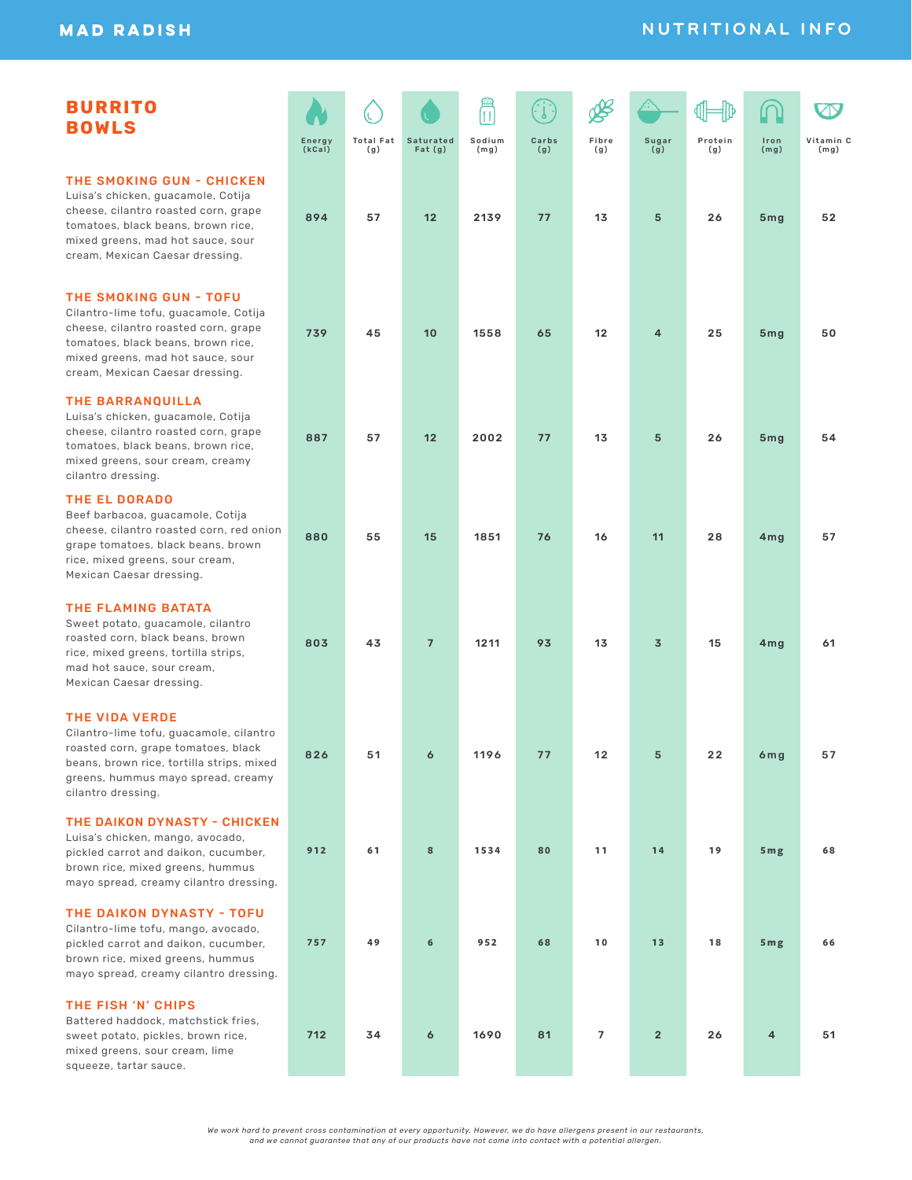# **NUTRITIONAL INFO**

| <b>BURRITO</b><br><b>BOWLS</b>                                                                                                                                                                                        | Energy<br>(kCal) | <b>Total Fat</b><br>(g) | <b>Saturated</b><br>Fat(g) | $\blacksquare$<br>Sodium<br>(mg) | Carbs<br>(g) | Fibre<br>(g) | Sugar<br>$\overline{g}$ ) | Protein<br>(g) | Iron<br>(mg)    | Vitamin C<br>(mg) |
|-----------------------------------------------------------------------------------------------------------------------------------------------------------------------------------------------------------------------|------------------|-------------------------|----------------------------|----------------------------------|--------------|--------------|---------------------------|----------------|-----------------|-------------------|
| THE SMOKING GUN - CHICKEN<br>Luisa's chicken, guacamole, Cotija<br>cheese, cilantro roasted corn, grape<br>tomatoes, black beans, brown rice,<br>mixed greens, mad hot sauce, sour<br>cream, Mexican Caesar dressing. | 894              | 57                      | 12                         | 2139                             | 77           | 13           | 5                         | 26             | 5mg             | 52                |
| THE SMOKING GUN - TOFU<br>Cilantro-lime tofu, guacamole, Cotija<br>cheese, cilantro roasted corn, grape<br>tomatoes, black beans, brown rice,<br>mixed greens, mad hot sauce, sour<br>cream, Mexican Caesar dressing. | 739              | 45                      | 10                         | 1558                             | 65           | 12           | 4                         | 25             | 5 <sub>mg</sub> | 50                |
| <b>THE BARRANQUILLA</b><br>Luisa's chicken, guacamole, Cotija<br>cheese, cilantro roasted corn, grape<br>tomatoes, black beans, brown rice,<br>mixed greens, sour cream, creamy<br>cilantro dressing.                 | 887              | 57                      | 12                         | 2002                             | 77           | 13           | 5                         | 26             | 5mg             | 54                |
| <b>THE EL DORADO</b><br>Beef barbacoa, guacamole, Cotija<br>cheese, cilantro roasted corn, red onion<br>grape tomatoes, black beans, brown<br>rice, mixed greens, sour cream,<br>Mexican Caesar dressing.             | 880              | 55                      | 15                         | 1851                             | 76           | 16           | 11                        | 28             | 4mg             | 57                |
| THE FLAMING BATATA<br>Sweet potato, guacamole, cilantro<br>roasted corn, black beans, brown<br>rice, mixed greens, tortilla strips,<br>mad hot sauce, sour cream,<br>Mexican Caesar dressing.                         | 803              | 43                      | $\overline{7}$             | 1211                             | 93           | 13           | $\overline{\mathbf{3}}$   | 15             | 4mg             | 61                |
| <b>THE VIDA VERDE</b><br>Cilantro-lime tofu, guacamole, cilantro<br>roasted corn, grape tomatoes, black<br>beans, brown rice, tortilla strips, mixed<br>greens, hummus mayo spread, creamy<br>cilantro dressing.      | 826              | 51                      | 6                          | 1196                             | 77           | 12           | 5                         | 22             | 6mg             | 57                |
| THE DAIKON DYNASTY - CHICKEN<br>Luisa's chicken, mango, avocado,<br>pickled carrot and daikon, cucumber,<br>brown rice, mixed greens, hummus<br>mayo spread, creamy cilantro dressing.                                | 912              | 61                      | 8                          | 1534                             | 80           | 11           | 14                        | 19             | 5 <sub>mg</sub> | 68                |
| <b>THE DAIKON DYNASTY - TOFU</b><br>Cilantro-lime tofu, mango, avocado,<br>pickled carrot and daikon, cucumber,<br>brown rice, mixed greens, hummus<br>mayo spread, creamy cilantro dressing.                         | 757              | 49                      | 6                          | 952                              | 68           | 10           | 13                        | 18             | 5 <sub>mg</sub> | 66                |
| THE FISH 'N' CHIPS<br>Battered haddock, matchstick fries,<br>sweet potato, pickles, brown rice,<br>mixed greens, sour cream, lime<br>squeeze, tartar sauce.                                                           | 712              | 34                      | 6                          | 1690                             | 81           | 7            | $\overline{2}$            | 26             | 4               | 51                |